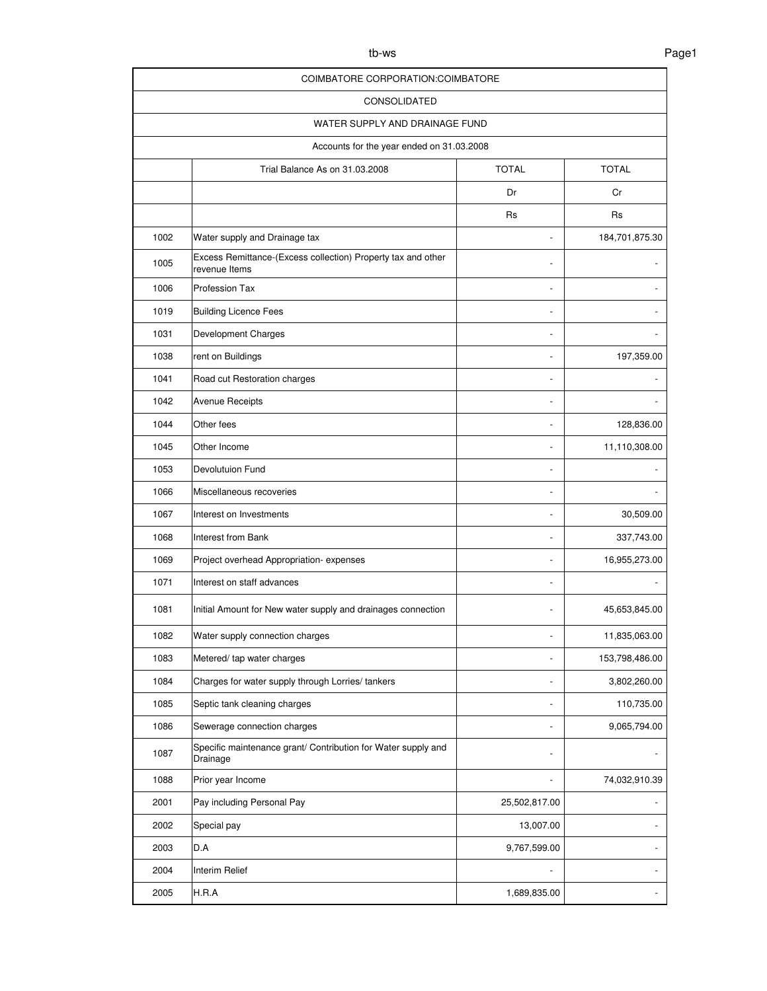| ۰.<br>×<br>I |
|--------------|
|--------------|

| COIMBATORE CORPORATION: COIMBATORE        |                                                                               |               |                |  |
|-------------------------------------------|-------------------------------------------------------------------------------|---------------|----------------|--|
| <b>CONSOLIDATED</b>                       |                                                                               |               |                |  |
| WATER SUPPLY AND DRAINAGE FUND            |                                                                               |               |                |  |
| Accounts for the year ended on 31.03.2008 |                                                                               |               |                |  |
|                                           | <b>TOTAL</b><br><b>TOTAL</b><br>Trial Balance As on 31.03.2008                |               |                |  |
|                                           |                                                                               | Dr            | Cr             |  |
|                                           |                                                                               | <b>Rs</b>     | <b>Rs</b>      |  |
| 1002                                      | Water supply and Drainage tax                                                 | ÷             | 184,701,875.30 |  |
| 1005                                      | Excess Remittance-(Excess collection) Property tax and other<br>revenue Items |               |                |  |
| 1006                                      | Profession Tax                                                                |               |                |  |
| 1019                                      | <b>Building Licence Fees</b>                                                  |               |                |  |
| 1031                                      | Development Charges                                                           |               |                |  |
| 1038                                      | rent on Buildings                                                             |               | 197,359.00     |  |
| 1041                                      | Road cut Restoration charges                                                  |               |                |  |
| 1042                                      | <b>Avenue Receipts</b>                                                        |               |                |  |
| 1044                                      | Other fees                                                                    |               | 128,836.00     |  |
| 1045                                      | Other Income                                                                  |               | 11,110,308.00  |  |
| 1053                                      | Devolutuion Fund                                                              | L,            |                |  |
| 1066                                      | Miscellaneous recoveries                                                      |               |                |  |
| 1067                                      | Interest on Investments                                                       | ٠             | 30,509.00      |  |
| 1068                                      | Interest from Bank                                                            |               | 337,743.00     |  |
| 1069                                      | Project overhead Appropriation-expenses                                       |               | 16,955,273.00  |  |
| 1071                                      | Interest on staff advances                                                    |               |                |  |
| 1081                                      | Initial Amount for New water supply and drainages connection                  |               | 45,653,845.00  |  |
| 1082                                      | Water supply connection charges                                               |               | 11,835,063.00  |  |
| 1083                                      | Metered/ tap water charges                                                    |               | 153,798,486.00 |  |
| 1084                                      | Charges for water supply through Lorries/tankers                              |               | 3,802,260.00   |  |
| 1085                                      | Septic tank cleaning charges                                                  | ÷,            | 110,735.00     |  |
| 1086                                      | Sewerage connection charges                                                   |               | 9,065,794.00   |  |
| 1087                                      | Specific maintenance grant/ Contribution for Water supply and<br>Drainage     |               |                |  |
| 1088                                      | Prior year Income                                                             |               | 74,032,910.39  |  |
| 2001                                      | Pay including Personal Pay                                                    | 25,502,817.00 |                |  |
| 2002                                      | Special pay                                                                   | 13,007.00     |                |  |
| 2003                                      | D.A                                                                           | 9,767,599.00  |                |  |
| 2004                                      | Interim Relief                                                                |               |                |  |
| 2005                                      | H.R.A                                                                         | 1,689,835.00  |                |  |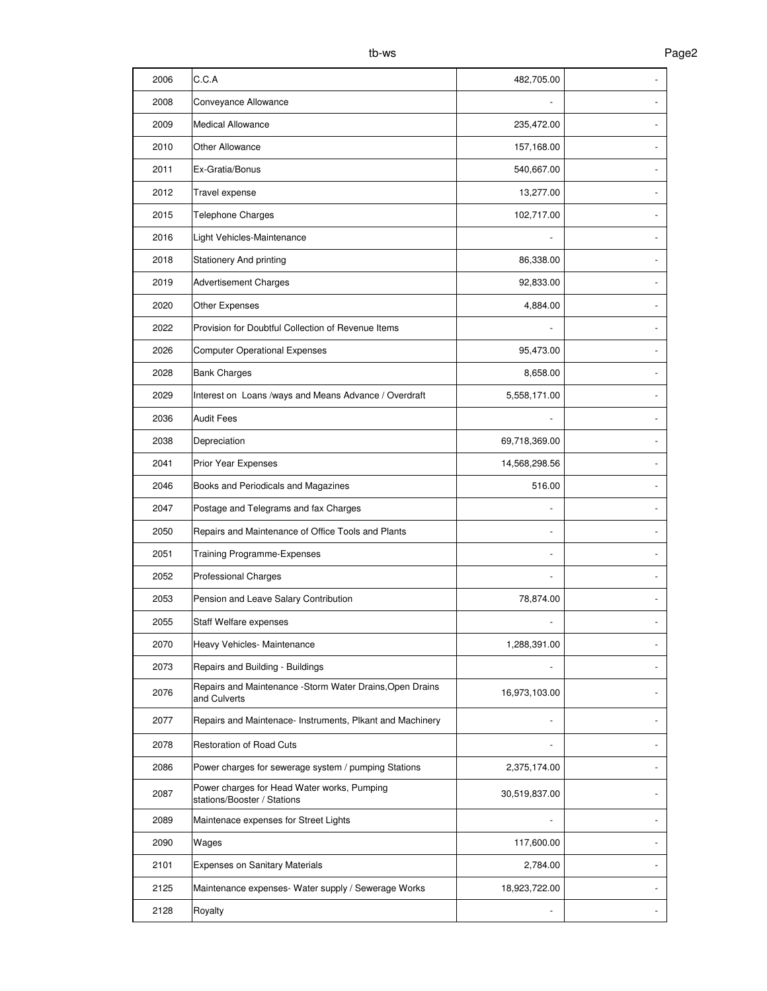| 2008<br>Conveyance Allowance<br>2009<br><b>Medical Allowance</b><br>235,472.00<br>2010<br>Other Allowance<br>157,168.00<br>Ex-Gratia/Bonus<br>540,667.00<br>2011<br>2012<br>Travel expense<br>13,277.00<br>Telephone Charges<br>102,717.00<br>2015<br>Light Vehicles-Maintenance<br>2016<br>Stationery And printing<br>86,338.00<br>2018<br>2019<br><b>Advertisement Charges</b><br>92,833.00<br>2020<br>Other Expenses<br>4,884.00<br>Provision for Doubtful Collection of Revenue Items<br>2022<br>2026<br><b>Computer Operational Expenses</b><br>95,473.00<br>2028<br><b>Bank Charges</b><br>8,658.00<br>2029<br>Interest on Loans /ways and Means Advance / Overdraft<br>5,558,171.00<br><b>Audit Fees</b><br>2036<br>Depreciation<br>2038<br>69,718,369.00<br>Prior Year Expenses<br>2041<br>14,568,298.56<br>Books and Periodicals and Magazines<br>2046<br>516.00<br>2047<br>Postage and Telegrams and fax Charges<br>Repairs and Maintenance of Office Tools and Plants<br>2050<br>2051<br>Training Programme-Expenses<br>2052<br><b>Professional Charges</b><br>Pension and Leave Salary Contribution<br>2053<br>78,874.00<br>2055<br>Staff Welfare expenses<br>2070<br>Heavy Vehicles- Maintenance<br>1,288,391.00<br>2073<br>Repairs and Building - Buildings<br>Repairs and Maintenance - Storm Water Drains, Open Drains<br>2076<br>16,973,103.00<br>and Culverts<br>2077<br>Repairs and Maintenace- Instruments, Plkant and Machinery<br><b>Restoration of Road Cuts</b><br>2078<br>2086<br>Power charges for sewerage system / pumping Stations<br>2,375,174.00<br>Power charges for Head Water works, Pumping<br>2087<br>30,519,837.00<br>stations/Booster / Stations<br>2089<br>Maintenace expenses for Street Lights<br>2090<br>117,600.00<br>Wages<br>2101<br><b>Expenses on Sanitary Materials</b><br>2,784.00<br>2125<br>Maintenance expenses- Water supply / Sewerage Works<br>18,923,722.00<br>2128<br>Royalty | 2006 | C.C.A | 482,705.00 |  |
|----------------------------------------------------------------------------------------------------------------------------------------------------------------------------------------------------------------------------------------------------------------------------------------------------------------------------------------------------------------------------------------------------------------------------------------------------------------------------------------------------------------------------------------------------------------------------------------------------------------------------------------------------------------------------------------------------------------------------------------------------------------------------------------------------------------------------------------------------------------------------------------------------------------------------------------------------------------------------------------------------------------------------------------------------------------------------------------------------------------------------------------------------------------------------------------------------------------------------------------------------------------------------------------------------------------------------------------------------------------------------------------------------------------------------------------------------------------------------------------------------------------------------------------------------------------------------------------------------------------------------------------------------------------------------------------------------------------------------------------------------------------------------------------------------------------------------------------------------------------------------------------------------------------------------------------|------|-------|------------|--|
|                                                                                                                                                                                                                                                                                                                                                                                                                                                                                                                                                                                                                                                                                                                                                                                                                                                                                                                                                                                                                                                                                                                                                                                                                                                                                                                                                                                                                                                                                                                                                                                                                                                                                                                                                                                                                                                                                                                                        |      |       |            |  |
|                                                                                                                                                                                                                                                                                                                                                                                                                                                                                                                                                                                                                                                                                                                                                                                                                                                                                                                                                                                                                                                                                                                                                                                                                                                                                                                                                                                                                                                                                                                                                                                                                                                                                                                                                                                                                                                                                                                                        |      |       |            |  |
|                                                                                                                                                                                                                                                                                                                                                                                                                                                                                                                                                                                                                                                                                                                                                                                                                                                                                                                                                                                                                                                                                                                                                                                                                                                                                                                                                                                                                                                                                                                                                                                                                                                                                                                                                                                                                                                                                                                                        |      |       |            |  |
|                                                                                                                                                                                                                                                                                                                                                                                                                                                                                                                                                                                                                                                                                                                                                                                                                                                                                                                                                                                                                                                                                                                                                                                                                                                                                                                                                                                                                                                                                                                                                                                                                                                                                                                                                                                                                                                                                                                                        |      |       |            |  |
|                                                                                                                                                                                                                                                                                                                                                                                                                                                                                                                                                                                                                                                                                                                                                                                                                                                                                                                                                                                                                                                                                                                                                                                                                                                                                                                                                                                                                                                                                                                                                                                                                                                                                                                                                                                                                                                                                                                                        |      |       |            |  |
|                                                                                                                                                                                                                                                                                                                                                                                                                                                                                                                                                                                                                                                                                                                                                                                                                                                                                                                                                                                                                                                                                                                                                                                                                                                                                                                                                                                                                                                                                                                                                                                                                                                                                                                                                                                                                                                                                                                                        |      |       |            |  |
|                                                                                                                                                                                                                                                                                                                                                                                                                                                                                                                                                                                                                                                                                                                                                                                                                                                                                                                                                                                                                                                                                                                                                                                                                                                                                                                                                                                                                                                                                                                                                                                                                                                                                                                                                                                                                                                                                                                                        |      |       |            |  |
|                                                                                                                                                                                                                                                                                                                                                                                                                                                                                                                                                                                                                                                                                                                                                                                                                                                                                                                                                                                                                                                                                                                                                                                                                                                                                                                                                                                                                                                                                                                                                                                                                                                                                                                                                                                                                                                                                                                                        |      |       |            |  |
|                                                                                                                                                                                                                                                                                                                                                                                                                                                                                                                                                                                                                                                                                                                                                                                                                                                                                                                                                                                                                                                                                                                                                                                                                                                                                                                                                                                                                                                                                                                                                                                                                                                                                                                                                                                                                                                                                                                                        |      |       |            |  |
|                                                                                                                                                                                                                                                                                                                                                                                                                                                                                                                                                                                                                                                                                                                                                                                                                                                                                                                                                                                                                                                                                                                                                                                                                                                                                                                                                                                                                                                                                                                                                                                                                                                                                                                                                                                                                                                                                                                                        |      |       |            |  |
|                                                                                                                                                                                                                                                                                                                                                                                                                                                                                                                                                                                                                                                                                                                                                                                                                                                                                                                                                                                                                                                                                                                                                                                                                                                                                                                                                                                                                                                                                                                                                                                                                                                                                                                                                                                                                                                                                                                                        |      |       |            |  |
|                                                                                                                                                                                                                                                                                                                                                                                                                                                                                                                                                                                                                                                                                                                                                                                                                                                                                                                                                                                                                                                                                                                                                                                                                                                                                                                                                                                                                                                                                                                                                                                                                                                                                                                                                                                                                                                                                                                                        |      |       |            |  |
|                                                                                                                                                                                                                                                                                                                                                                                                                                                                                                                                                                                                                                                                                                                                                                                                                                                                                                                                                                                                                                                                                                                                                                                                                                                                                                                                                                                                                                                                                                                                                                                                                                                                                                                                                                                                                                                                                                                                        |      |       |            |  |
|                                                                                                                                                                                                                                                                                                                                                                                                                                                                                                                                                                                                                                                                                                                                                                                                                                                                                                                                                                                                                                                                                                                                                                                                                                                                                                                                                                                                                                                                                                                                                                                                                                                                                                                                                                                                                                                                                                                                        |      |       |            |  |
|                                                                                                                                                                                                                                                                                                                                                                                                                                                                                                                                                                                                                                                                                                                                                                                                                                                                                                                                                                                                                                                                                                                                                                                                                                                                                                                                                                                                                                                                                                                                                                                                                                                                                                                                                                                                                                                                                                                                        |      |       |            |  |
|                                                                                                                                                                                                                                                                                                                                                                                                                                                                                                                                                                                                                                                                                                                                                                                                                                                                                                                                                                                                                                                                                                                                                                                                                                                                                                                                                                                                                                                                                                                                                                                                                                                                                                                                                                                                                                                                                                                                        |      |       |            |  |
|                                                                                                                                                                                                                                                                                                                                                                                                                                                                                                                                                                                                                                                                                                                                                                                                                                                                                                                                                                                                                                                                                                                                                                                                                                                                                                                                                                                                                                                                                                                                                                                                                                                                                                                                                                                                                                                                                                                                        |      |       |            |  |
|                                                                                                                                                                                                                                                                                                                                                                                                                                                                                                                                                                                                                                                                                                                                                                                                                                                                                                                                                                                                                                                                                                                                                                                                                                                                                                                                                                                                                                                                                                                                                                                                                                                                                                                                                                                                                                                                                                                                        |      |       |            |  |
|                                                                                                                                                                                                                                                                                                                                                                                                                                                                                                                                                                                                                                                                                                                                                                                                                                                                                                                                                                                                                                                                                                                                                                                                                                                                                                                                                                                                                                                                                                                                                                                                                                                                                                                                                                                                                                                                                                                                        |      |       |            |  |
|                                                                                                                                                                                                                                                                                                                                                                                                                                                                                                                                                                                                                                                                                                                                                                                                                                                                                                                                                                                                                                                                                                                                                                                                                                                                                                                                                                                                                                                                                                                                                                                                                                                                                                                                                                                                                                                                                                                                        |      |       |            |  |
|                                                                                                                                                                                                                                                                                                                                                                                                                                                                                                                                                                                                                                                                                                                                                                                                                                                                                                                                                                                                                                                                                                                                                                                                                                                                                                                                                                                                                                                                                                                                                                                                                                                                                                                                                                                                                                                                                                                                        |      |       |            |  |
|                                                                                                                                                                                                                                                                                                                                                                                                                                                                                                                                                                                                                                                                                                                                                                                                                                                                                                                                                                                                                                                                                                                                                                                                                                                                                                                                                                                                                                                                                                                                                                                                                                                                                                                                                                                                                                                                                                                                        |      |       |            |  |
|                                                                                                                                                                                                                                                                                                                                                                                                                                                                                                                                                                                                                                                                                                                                                                                                                                                                                                                                                                                                                                                                                                                                                                                                                                                                                                                                                                                                                                                                                                                                                                                                                                                                                                                                                                                                                                                                                                                                        |      |       |            |  |
|                                                                                                                                                                                                                                                                                                                                                                                                                                                                                                                                                                                                                                                                                                                                                                                                                                                                                                                                                                                                                                                                                                                                                                                                                                                                                                                                                                                                                                                                                                                                                                                                                                                                                                                                                                                                                                                                                                                                        |      |       |            |  |
|                                                                                                                                                                                                                                                                                                                                                                                                                                                                                                                                                                                                                                                                                                                                                                                                                                                                                                                                                                                                                                                                                                                                                                                                                                                                                                                                                                                                                                                                                                                                                                                                                                                                                                                                                                                                                                                                                                                                        |      |       |            |  |
|                                                                                                                                                                                                                                                                                                                                                                                                                                                                                                                                                                                                                                                                                                                                                                                                                                                                                                                                                                                                                                                                                                                                                                                                                                                                                                                                                                                                                                                                                                                                                                                                                                                                                                                                                                                                                                                                                                                                        |      |       |            |  |
|                                                                                                                                                                                                                                                                                                                                                                                                                                                                                                                                                                                                                                                                                                                                                                                                                                                                                                                                                                                                                                                                                                                                                                                                                                                                                                                                                                                                                                                                                                                                                                                                                                                                                                                                                                                                                                                                                                                                        |      |       |            |  |
|                                                                                                                                                                                                                                                                                                                                                                                                                                                                                                                                                                                                                                                                                                                                                                                                                                                                                                                                                                                                                                                                                                                                                                                                                                                                                                                                                                                                                                                                                                                                                                                                                                                                                                                                                                                                                                                                                                                                        |      |       |            |  |
|                                                                                                                                                                                                                                                                                                                                                                                                                                                                                                                                                                                                                                                                                                                                                                                                                                                                                                                                                                                                                                                                                                                                                                                                                                                                                                                                                                                                                                                                                                                                                                                                                                                                                                                                                                                                                                                                                                                                        |      |       |            |  |
|                                                                                                                                                                                                                                                                                                                                                                                                                                                                                                                                                                                                                                                                                                                                                                                                                                                                                                                                                                                                                                                                                                                                                                                                                                                                                                                                                                                                                                                                                                                                                                                                                                                                                                                                                                                                                                                                                                                                        |      |       |            |  |
|                                                                                                                                                                                                                                                                                                                                                                                                                                                                                                                                                                                                                                                                                                                                                                                                                                                                                                                                                                                                                                                                                                                                                                                                                                                                                                                                                                                                                                                                                                                                                                                                                                                                                                                                                                                                                                                                                                                                        |      |       |            |  |
|                                                                                                                                                                                                                                                                                                                                                                                                                                                                                                                                                                                                                                                                                                                                                                                                                                                                                                                                                                                                                                                                                                                                                                                                                                                                                                                                                                                                                                                                                                                                                                                                                                                                                                                                                                                                                                                                                                                                        |      |       |            |  |
|                                                                                                                                                                                                                                                                                                                                                                                                                                                                                                                                                                                                                                                                                                                                                                                                                                                                                                                                                                                                                                                                                                                                                                                                                                                                                                                                                                                                                                                                                                                                                                                                                                                                                                                                                                                                                                                                                                                                        |      |       |            |  |
|                                                                                                                                                                                                                                                                                                                                                                                                                                                                                                                                                                                                                                                                                                                                                                                                                                                                                                                                                                                                                                                                                                                                                                                                                                                                                                                                                                                                                                                                                                                                                                                                                                                                                                                                                                                                                                                                                                                                        |      |       |            |  |
|                                                                                                                                                                                                                                                                                                                                                                                                                                                                                                                                                                                                                                                                                                                                                                                                                                                                                                                                                                                                                                                                                                                                                                                                                                                                                                                                                                                                                                                                                                                                                                                                                                                                                                                                                                                                                                                                                                                                        |      |       |            |  |
|                                                                                                                                                                                                                                                                                                                                                                                                                                                                                                                                                                                                                                                                                                                                                                                                                                                                                                                                                                                                                                                                                                                                                                                                                                                                                                                                                                                                                                                                                                                                                                                                                                                                                                                                                                                                                                                                                                                                        |      |       |            |  |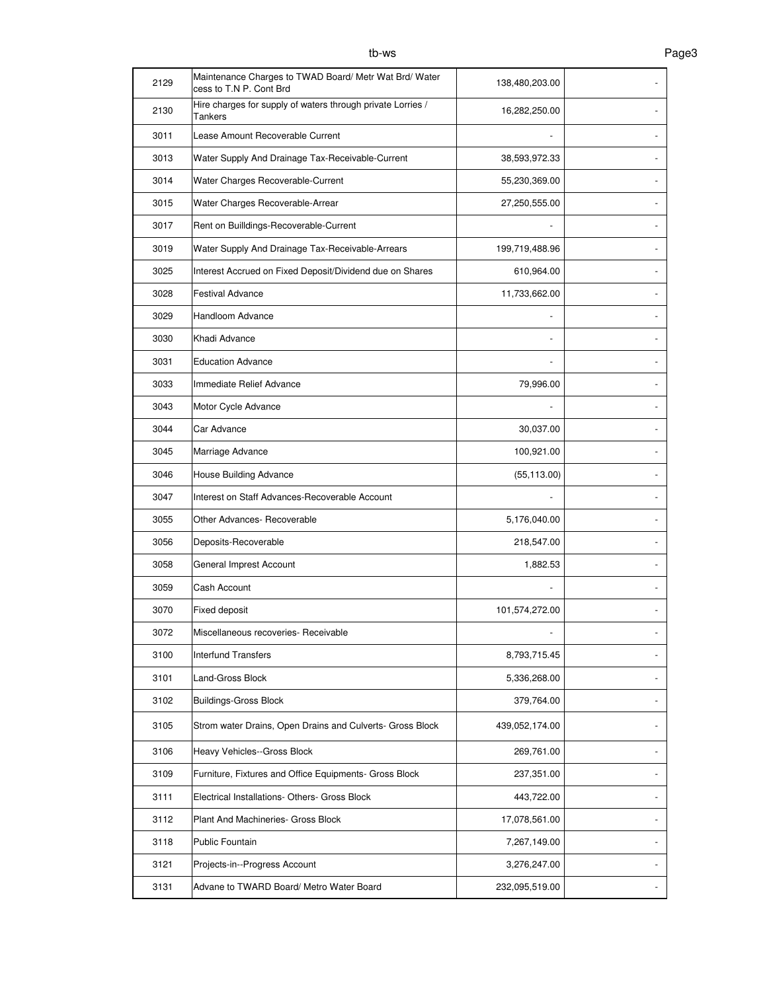| 2129 | Maintenance Charges to TWAD Board/ Metr Wat Brd/ Water<br>cess to T.N P. Cont Brd | 138,480,203.00 |  |
|------|-----------------------------------------------------------------------------------|----------------|--|
| 2130 | Hire charges for supply of waters through private Lorries /<br>Tankers            | 16,282,250.00  |  |
| 3011 | Lease Amount Recoverable Current                                                  |                |  |
| 3013 | Water Supply And Drainage Tax-Receivable-Current                                  | 38,593,972.33  |  |
| 3014 | Water Charges Recoverable-Current                                                 | 55,230,369.00  |  |
| 3015 | Water Charges Recoverable-Arrear                                                  | 27,250,555.00  |  |
| 3017 | Rent on Builldings-Recoverable-Current                                            |                |  |
| 3019 | Water Supply And Drainage Tax-Receivable-Arrears                                  | 199,719,488.96 |  |
| 3025 | Interest Accrued on Fixed Deposit/Dividend due on Shares                          | 610,964.00     |  |
| 3028 | <b>Festival Advance</b>                                                           | 11,733,662.00  |  |
| 3029 | Handloom Advance                                                                  |                |  |
| 3030 | Khadi Advance                                                                     |                |  |
| 3031 | <b>Education Advance</b>                                                          |                |  |
| 3033 | Immediate Relief Advance                                                          | 79,996.00      |  |
| 3043 | Motor Cycle Advance                                                               |                |  |
| 3044 | Car Advance                                                                       | 30,037.00      |  |
| 3045 | Marriage Advance                                                                  | 100,921.00     |  |
| 3046 | House Building Advance                                                            | (55, 113.00)   |  |
| 3047 | Interest on Staff Advances-Recoverable Account                                    |                |  |
| 3055 | Other Advances- Recoverable                                                       | 5,176,040.00   |  |
| 3056 | Deposits-Recoverable                                                              | 218,547.00     |  |
| 3058 | General Imprest Account                                                           | 1,882.53       |  |
| 3059 | Cash Account                                                                      |                |  |
| 3070 | Fixed deposit                                                                     | 101,574,272.00 |  |
| 3072 | Miscellaneous recoveries- Receivable                                              |                |  |
| 3100 | Interfund Transfers                                                               | 8,793,715.45   |  |
| 3101 | Land-Gross Block                                                                  | 5,336,268.00   |  |
| 3102 | <b>Buildings-Gross Block</b>                                                      | 379,764.00     |  |
| 3105 | Strom water Drains, Open Drains and Culverts- Gross Block                         | 439,052,174.00 |  |
| 3106 | Heavy Vehicles--Gross Block                                                       | 269,761.00     |  |
| 3109 | Furniture, Fixtures and Office Equipments- Gross Block                            | 237,351.00     |  |
| 3111 | Electrical Installations- Others- Gross Block                                     | 443,722.00     |  |
| 3112 | Plant And Machineries- Gross Block                                                | 17,078,561.00  |  |
| 3118 | Public Fountain                                                                   | 7,267,149.00   |  |
| 3121 | Projects-in--Progress Account                                                     | 3,276,247.00   |  |
| 3131 | Advane to TWARD Board/ Metro Water Board                                          | 232,095,519.00 |  |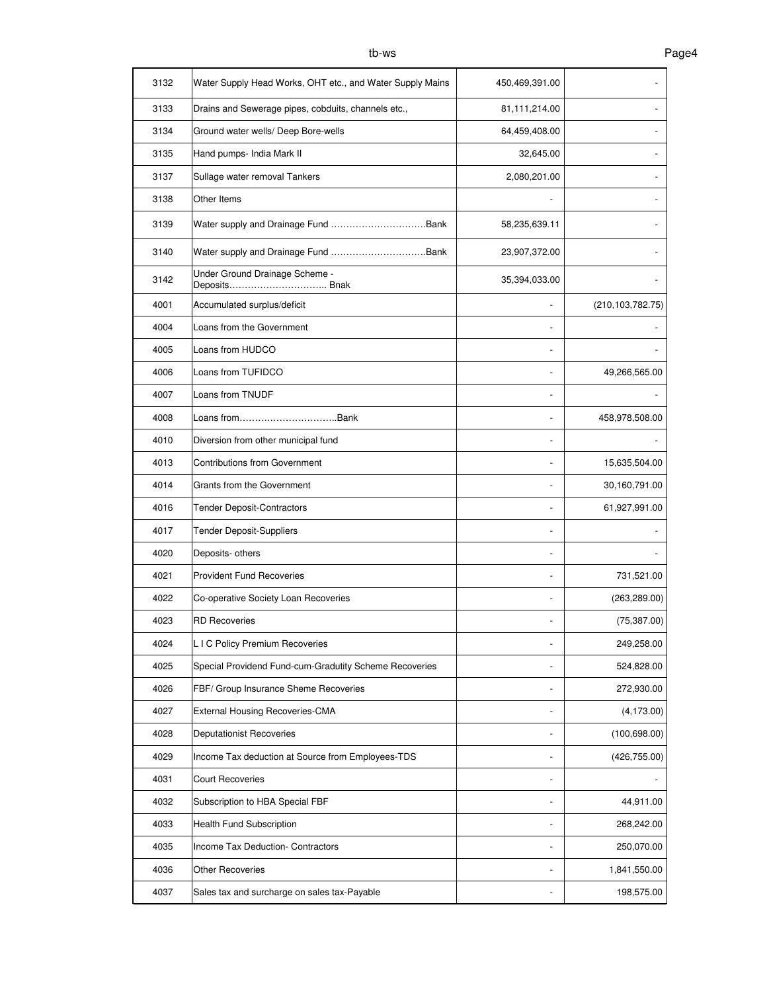| 3132 | Water Supply Head Works, OHT etc., and Water Supply Mains | 450,469,391.00 |                    |
|------|-----------------------------------------------------------|----------------|--------------------|
| 3133 | Drains and Sewerage pipes, cobduits, channels etc.,       | 81,111,214.00  |                    |
| 3134 | Ground water wells/ Deep Bore-wells                       | 64,459,408.00  |                    |
| 3135 | Hand pumps- India Mark II                                 | 32,645.00      |                    |
| 3137 | Sullage water removal Tankers                             | 2,080,201.00   |                    |
| 3138 | Other Items                                               |                |                    |
| 3139 | Water supply and Drainage Fund Bank                       | 58,235,639.11  |                    |
| 3140 |                                                           | 23,907,372.00  |                    |
| 3142 | Under Ground Drainage Scheme -<br>Deposits Bnak           | 35,394,033.00  |                    |
| 4001 | Accumulated surplus/deficit                               |                | (210, 103, 782.75) |
| 4004 | Loans from the Government                                 |                |                    |
| 4005 | Loans from HUDCO                                          |                |                    |
| 4006 | Loans from TUFIDCO                                        |                | 49,266,565.00      |
| 4007 | Loans from TNUDF                                          |                |                    |
| 4008 | Loans fromBank                                            |                | 458,978,508.00     |
| 4010 | Diversion from other municipal fund                       |                |                    |
| 4013 | <b>Contributions from Government</b>                      |                | 15,635,504.00      |
| 4014 | Grants from the Government                                |                | 30,160,791.00      |
| 4016 | <b>Tender Deposit-Contractors</b>                         |                | 61,927,991.00      |
| 4017 | <b>Tender Deposit-Suppliers</b>                           |                |                    |
| 4020 | Deposits- others                                          |                |                    |
| 4021 | <b>Provident Fund Recoveries</b>                          |                | 731,521.00         |
| 4022 | Co-operative Society Loan Recoveries                      |                | (263, 289.00)      |
| 4023 | <b>RD Recoveries</b>                                      |                | (75, 387.00)       |
| 4024 | L I C Policy Premium Recoveries                           |                | 249,258.00         |
| 4025 | Special Providend Fund-cum-Gradutity Scheme Recoveries    |                | 524,828.00         |
| 4026 | FBF/ Group Insurance Sheme Recoveries                     |                | 272,930.00         |
| 4027 | External Housing Recoveries-CMA                           |                | (4, 173.00)        |
| 4028 | Deputationist Recoveries                                  |                | (100, 698.00)      |
| 4029 | Income Tax deduction at Source from Employees-TDS         |                | (426, 755.00)      |
| 4031 | <b>Court Recoveries</b>                                   | -              |                    |
| 4032 | Subscription to HBA Special FBF                           | -              | 44,911.00          |
| 4033 | Health Fund Subscription                                  | -              | 268,242.00         |
| 4035 | Income Tax Deduction- Contractors                         |                | 250,070.00         |
| 4036 | <b>Other Recoveries</b>                                   |                | 1,841,550.00       |
| 4037 | Sales tax and surcharge on sales tax-Payable              |                | 198,575.00         |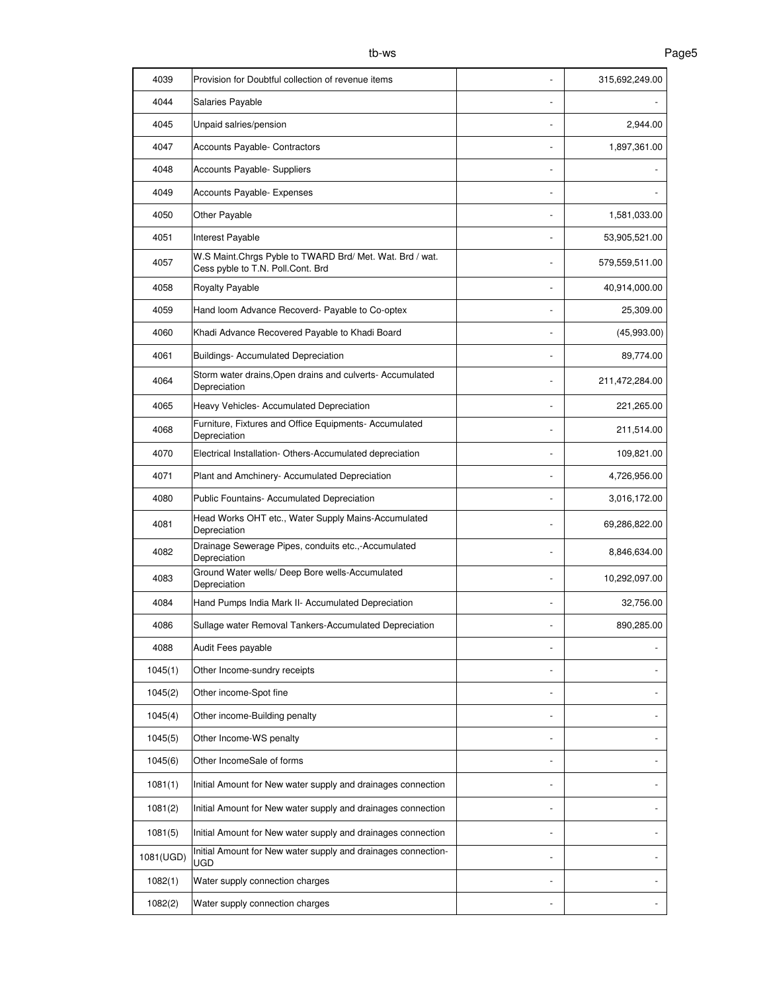| 4039      | Provision for Doubtful collection of revenue items                                            |                          | 315,692,249.00 |
|-----------|-----------------------------------------------------------------------------------------------|--------------------------|----------------|
| 4044      | Salaries Payable                                                                              |                          |                |
| 4045      | Unpaid salries/pension                                                                        |                          | 2,944.00       |
| 4047      | Accounts Payable- Contractors                                                                 |                          | 1,897,361.00   |
| 4048      | Accounts Payable- Suppliers                                                                   |                          |                |
| 4049      | Accounts Payable- Expenses                                                                    |                          |                |
| 4050      | Other Payable                                                                                 |                          | 1,581,033.00   |
| 4051      | Interest Payable                                                                              |                          | 53,905,521.00  |
| 4057      | W.S Maint.Chrgs Pyble to TWARD Brd/ Met. Wat. Brd / wat.<br>Cess pyble to T.N. Poll.Cont. Brd |                          | 579,559,511.00 |
| 4058      | Royalty Payable                                                                               |                          | 40,914,000.00  |
| 4059      | Hand loom Advance Recoverd- Payable to Co-optex                                               | ٠                        | 25,309.00      |
| 4060      | Khadi Advance Recovered Payable to Khadi Board                                                |                          | (45,993.00)    |
| 4061      | <b>Buildings- Accumulated Depreciation</b>                                                    | ÷,                       | 89,774.00      |
| 4064      | Storm water drains, Open drains and culverts- Accumulated<br>Depreciation                     | $\overline{\phantom{m}}$ | 211,472,284.00 |
| 4065      | Heavy Vehicles- Accumulated Depreciation                                                      |                          | 221,265.00     |
| 4068      | Furniture, Fixtures and Office Equipments- Accumulated<br>Depreciation                        |                          | 211,514.00     |
| 4070      | Electrical Installation- Others-Accumulated depreciation                                      | $\overline{a}$           | 109,821.00     |
| 4071      | Plant and Amchinery- Accumulated Depreciation                                                 | $\overline{\phantom{a}}$ | 4,726,956.00   |
| 4080      | Public Fountains- Accumulated Depreciation                                                    | $\overline{a}$           | 3,016,172.00   |
| 4081      | Head Works OHT etc., Water Supply Mains-Accumulated<br>Depreciation                           | $\overline{\phantom{a}}$ | 69,286,822.00  |
| 4082      | Drainage Sewerage Pipes, conduits etc.,-Accumulated<br>Depreciation                           |                          | 8,846,634.00   |
| 4083      | Ground Water wells/ Deep Bore wells-Accumulated<br>Depreciation                               |                          | 10,292,097.00  |
| 4084      | Hand Pumps India Mark II- Accumulated Depreciation                                            |                          | 32,756.00      |
| 4086      | Sullage water Removal Tankers-Accumulated Depreciation                                        |                          | 890.285.00     |
| 4088      | Audit Fees payable                                                                            |                          |                |
| 1045(1)   | Other Income-sundry receipts                                                                  |                          |                |
| 1045(2)   | Other income-Spot fine                                                                        | -                        |                |
| 1045(4)   | Other income-Building penalty                                                                 | -                        |                |
| 1045(5)   | Other Income-WS penalty                                                                       | -                        |                |
| 1045(6)   | Other IncomeSale of forms                                                                     |                          |                |
| 1081(1)   | Initial Amount for New water supply and drainages connection                                  |                          |                |
| 1081(2)   | Initial Amount for New water supply and drainages connection                                  | $\overline{\phantom{m}}$ |                |
| 1081(5)   | Initial Amount for New water supply and drainages connection                                  | ٠                        |                |
| 1081(UGD) | Initial Amount for New water supply and drainages connection-<br><b>UGD</b>                   | $\overline{\phantom{a}}$ |                |
| 1082(1)   | Water supply connection charges                                                               | ٠                        |                |
| 1082(2)   | Water supply connection charges                                                               |                          |                |